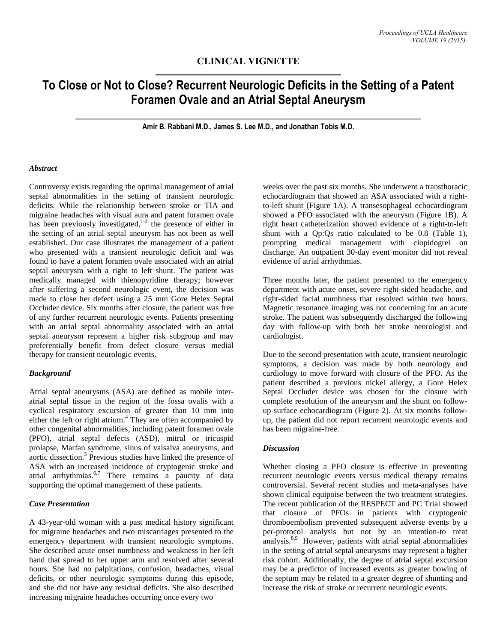## **CLINICAL VIGNETTE**

# **To Close or Not to Close? Recurrent Neurologic Deficits in the Setting of a Patent Foramen Ovale and an Atrial Septal Aneurysm**

**Amir B. Rabbani M.D., James S. Lee M.D., and Jonathan Tobis M.D.**

#### *Abstract*

Controversy exists regarding the optimal management of atrial septal abnormalities in the setting of transient neurologic deficits. While the relationship between stroke or TIA and migraine headaches with visual aura and patent foramen ovale has been previously investigated, $1-3$  the presence of either in the setting of an atrial septal aneurysm has not been as well established. Our case illustrates the management of a patient who presented with a transient neurologic deficit and was found to have a patent foramen ovale associated with an atrial septal aneurysm with a right to left shunt. The patient was medically managed with thienopyridine therapy; however after suffering a second neurologic event, the decision was made to close her defect using a 25 mm Gore Helex Septal Occluder device. Six months after closure, the patient was free of any further recurrent neurologic events. Patients presenting with an atrial septal abnormality associated with an atrial septal aneurysm represent a higher risk subgroup and may preferentially benefit from defect closure versus medial therapy for transient neurologic events.

## *Background*

Atrial septal aneurysms (ASA) are defined as mobile interatrial septal tissue in the region of the fossa ovalis with a cyclical respiratory excursion of greater than 10 mm into either the left or right atrium. <sup>4</sup> They are often accompanied by other congenital abnormalities, including patent foramen ovale (PFO), atrial septal defects (ASD), mitral or tricuspid prolapse, Marfan syndrome, sinus of valsalva aneurysms, and aortic dissection.<sup>5</sup> Previous studies have linked the presence of ASA with an increased incidence of cryptogenic stroke and atrial arrhythmias. 6,7 There remains a paucity of data supporting the optimal management of these patients.

## *Case Presentation*

A 43-year-old woman with a past medical history significant for migraine headaches and two miscarriages presented to the emergency department with transient neurologic symptoms. She described acute onset numbness and weakness in her left hand that spread to her upper arm and resolved after several hours. She had no palpitations, confusion, headaches, visual deficits, or other neurologic symptoms during this episode, and she did not have any residual deficits. She also described increasing migraine headaches occurring once every two

weeks over the past six months. She underwent a transthoracic echocardiogram that showed an ASA associated with a rightto-left shunt (Figure 1A). A transesophageal echocardiogram showed a PFO associated with the aneurysm (Figure 1B). A right heart catheterization showed evidence of a right-to-left shunt with a Qp:Qs ratio calculated to be 0.8 (Table 1), prompting medical management with clopidogrel on discharge. An outpatient 30-day event monitor did not reveal evidence of atrial arrhythmias.

Three months later, the patient presented to the emergency department with acute onset, severe right-sided headache, and right-sided facial numbness that resolved within two hours. Magnetic resonance imaging was not concerning for an acute stroke. The patient was subsequently discharged the following day with follow-up with both her stroke neurologist and cardiologist.

Due to the second presentation with acute, transient neurologic symptoms, a decision was made by both neurology and cardiology to move forward with closure of the PFO. As the patient described a previous nickel allergy, a Gore Helex Septal Occluder device was chosen for the closure with complete resolution of the aneurysm and the shunt on followup surface echocardiogram (Figure 2). At six months followup, the patient did not report recurrent neurologic events and has been migraine-free.

## *Discussion*

Whether closing a PFO closure is effective in preventing recurrent neurologic events versus medical therapy remains controversial. Several recent studies and meta-analyses have shown clinical equipoise between the two treatment strategies. The recent publication of the RESPECT and PC Trial showed that closure of PFOs in patients with cryptogenic thromboembolism prevented subsequent adverse events by a per-protocol analysis but not by an intention-to treat analysis.<sup>8,9</sup> However, patients with atrial septal abnormalities in the setting of atrial septal aneurysms may represent a higher risk cohort. Additionally, the degree of atrial septal excursion may be a predictor of increased events as greater bowing of the septum may be related to a greater degree of shunting and increase the risk of stroke or recurrent neurologic events.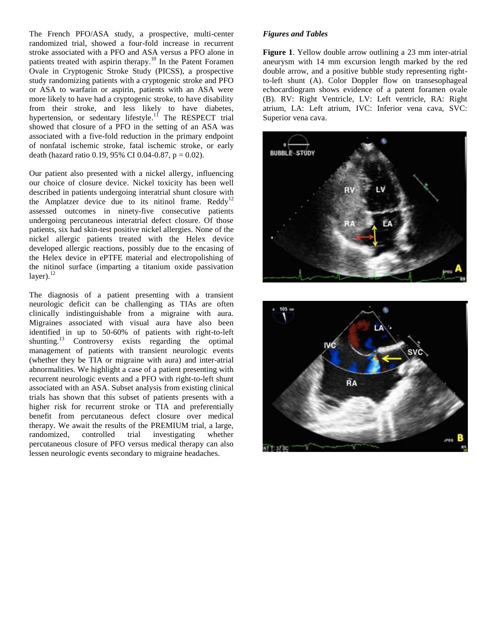The French PFO/ASA study, a prospective, multi-center randomized trial, showed a four-fold increase in recurrent stroke associated with a PFO and ASA versus a PFO alone in patients treated with aspirin therapy.<sup>10</sup> In the Patent Foramen Ovale in Cryptogenic Stroke Study (PICSS), a prospective study randomizing patients with a cryptogenic stroke and PFO or ASA to warfarin or aspirin, patients with an ASA were more likely to have had a cryptogenic stroke, to have disability from their stroke, and less likely to have diabetes, hypertension, or sedentary lifestyle.<sup>11</sup> The RESPECT trial showed that closure of a PFO in the setting of an ASA was associated with a five-fold reduction in the primary endpoint of nonfatal ischemic stroke, fatal ischemic stroke, or early death (hazard ratio 0.19, 95% CI 0.04-0.87,  $p = 0.02$ ).

Our patient also presented with a nickel allergy, influencing our choice of closure device. Nickel toxicity has been well described in patients undergoing interatrial shunt closure with the Amplatzer device due to its nitinol frame.  $Reddv^{12}$ assessed outcomes in ninety-five consecutive patients undergoing percutaneous interatrial defect closure. Of those patients, six had skin-test positive nickel allergies. None of the nickel allergic patients treated with the Helex device developed allergic reactions, possibly due to the encasing of the Helex device in ePTFE material and electropolishing of the nitinol surface (imparting a titanium oxide passivation layer). $^{12}$ 

The diagnosis of a patient presenting with a transient neurologic deficit can be challenging as TIAs are often clinically indistinguishable from a migraine with aura. Migraines associated with visual aura have also been identified in up to 50-60% of patients with right-to-left shunting.<sup>13</sup> Controversy exists regarding the optimal management of patients with transient neurologic events (whether they be TIA or migraine with aura) and inter-atrial abnormalities. We highlight a case of a patient presenting with recurrent neurologic events and a PFO with right-to-left shunt associated with an ASA. Subset analysis from existing clinical trials has shown that this subset of patients presents with a higher risk for recurrent stroke or TIA and preferentially benefit from percutaneous defect closure over medical therapy. We await the results of the PREMIUM trial, a large, randomized, controlled trial investigating whether percutaneous closure of PFO versus medical therapy can also lessen neurologic events secondary to migraine headaches.

## *Figures and Tables*

**Figure 1**. Yellow double arrow outlining a 23 mm inter-atrial aneurysm with 14 mm excursion length marked by the red double arrow, and a positive bubble study representing rightto-left shunt (A). Color Doppler flow on transesophageal echocardiogram shows evidence of a patent foramen ovale (B). RV: Right Ventricle, LV: Left ventricle, RA: Right atrium, LA: Left atrium, IVC: Inferior vena cava, SVC: Superior vena cava.



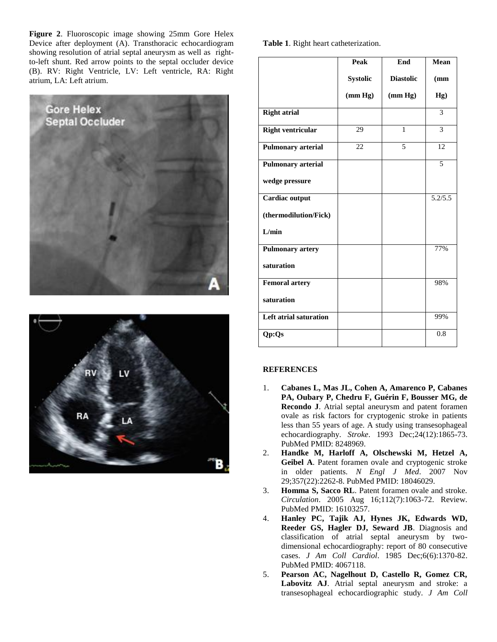**Figure 2**. Fluoroscopic image showing 25mm Gore Helex Device after deployment (A). Transthoracic echocardiogram showing resolution of atrial septal aneurysm as well as rightto-left shunt. Red arrow points to the septal occluder device (B). RV: Right Ventricle, LV: Left ventricle, RA: Right atrium, LA: Left atrium.





**Table 1**. Right heart catheterization.

|                           | <b>Peak</b>     | End              | Mean    |
|---------------------------|-----------------|------------------|---------|
|                           | <b>Systolic</b> | <b>Diastolic</b> | (mm     |
|                           | (mm Hg)         | (mm Hg)          | Hg)     |
| <b>Right atrial</b>       |                 |                  | 3       |
| <b>Right ventricular</b>  | 29              | 1                | 3       |
| <b>Pulmonary arterial</b> | 22              | 5                | 12      |
| <b>Pulmonary arterial</b> |                 |                  | 5       |
| wedge pressure            |                 |                  |         |
| Cardiac output            |                 |                  | 5.2/5.5 |
| (thermodilution/Fick)     |                 |                  |         |
| L/min                     |                 |                  |         |
| <b>Pulmonary artery</b>   |                 |                  | 77%     |
| saturation                |                 |                  |         |
| <b>Femoral artery</b>     |                 |                  | 98%     |
| saturation                |                 |                  |         |
| Left atrial saturation    |                 |                  | 99%     |
| Qp:Qs                     |                 |                  | 0.8     |
|                           |                 |                  |         |

## **REFERENCES**

- 1. **Cabanes L, Mas JL, Cohen A, Amarenco P, Cabanes PA, Oubary P, Chedru F, Guérin F, Bousser MG, de Recondo J**. Atrial septal aneurysm and patent foramen ovale as risk factors for cryptogenic stroke in patients less than 55 years of age. A study using transesophageal echocardiography. *Stroke*. 1993 Dec;24(12):1865-73. PubMed PMID: 8248969.
- 2. **Handke M, Harloff A, Olschewski M, Hetzel A, Geibel A**. Patent foramen ovale and cryptogenic stroke in older patients. *N Engl J Med*. 2007 Nov 29;357(22):2262-8. PubMed PMID: 18046029.
- 3. **Homma S, Sacco RL**. Patent foramen ovale and stroke. *Circulation*. 2005 Aug 16;112(7):1063-72. Review. PubMed PMID: 16103257.
- 4. **Hanley PC, Tajik AJ, Hynes JK, Edwards WD, Reeder GS, Hagler DJ, Seward JB**. Diagnosis and classification of atrial septal aneurysm by twodimensional echocardiography: report of 80 consecutive cases. *J Am Coll Cardiol*. 1985 Dec;6(6):1370-82. PubMed PMID: 4067118.
- 5. **Pearson AC, Nagelhout D, Castello R, Gomez CR, Labovitz AJ**. Atrial septal aneurysm and stroke: a transesophageal echocardiographic study. *J Am Coll*